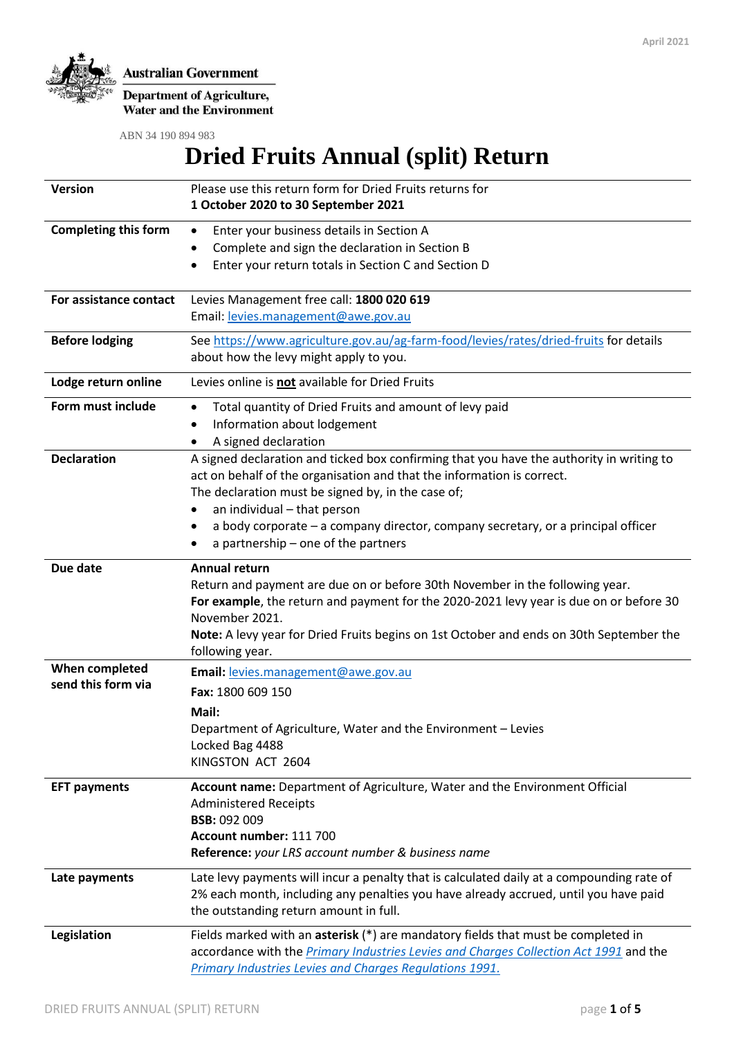

**Department of Agriculture,**<br>Water and the Environment

ABN 34 190 894 983

# **Dried Fruits Annual (split) Return**

| Version                              | Please use this return form for Dried Fruits returns for<br>1 October 2020 to 30 September 2021                                                                                                                                                                                                                                                                                              |
|--------------------------------------|----------------------------------------------------------------------------------------------------------------------------------------------------------------------------------------------------------------------------------------------------------------------------------------------------------------------------------------------------------------------------------------------|
| <b>Completing this form</b>          | Enter your business details in Section A<br>$\bullet$<br>Complete and sign the declaration in Section B<br>٠<br>Enter your return totals in Section C and Section D<br>$\bullet$                                                                                                                                                                                                             |
| For assistance contact               | Levies Management free call: 1800 020 619<br>Email: levies.management@awe.gov.au                                                                                                                                                                                                                                                                                                             |
| <b>Before lodging</b>                | See https://www.agriculture.gov.au/ag-farm-food/levies/rates/dried-fruits for details<br>about how the levy might apply to you.                                                                                                                                                                                                                                                              |
| Lodge return online                  | Levies online is not available for Dried Fruits                                                                                                                                                                                                                                                                                                                                              |
| Form must include                    | Total quantity of Dried Fruits and amount of levy paid<br>٠<br>Information about lodgement<br>A signed declaration<br>٠                                                                                                                                                                                                                                                                      |
| <b>Declaration</b>                   | A signed declaration and ticked box confirming that you have the authority in writing to<br>act on behalf of the organisation and that the information is correct.<br>The declaration must be signed by, in the case of;<br>an individual - that person<br>٠<br>a body corporate - a company director, company secretary, or a principal officer<br>٠<br>a partnership – one of the partners |
| Due date                             | <b>Annual return</b><br>Return and payment are due on or before 30th November in the following year.<br>For example, the return and payment for the 2020-2021 levy year is due on or before 30<br>November 2021.<br>Note: A levy year for Dried Fruits begins on 1st October and ends on 30th September the<br>following year.                                                               |
| When completed<br>send this form via | Email: levies.management@awe.gov.au<br>Fax: 1800 609 150<br>Mail:<br>Department of Agriculture, Water and the Environment - Levies<br>Locked Bag 4488<br>KINGSTON ACT 2604                                                                                                                                                                                                                   |
| <b>EFT payments</b>                  | Account name: Department of Agriculture, Water and the Environment Official<br><b>Administered Receipts</b><br><b>BSB: 092 009</b><br>Account number: 111 700<br>Reference: your LRS account number & business name                                                                                                                                                                          |
| Late payments                        | Late levy payments will incur a penalty that is calculated daily at a compounding rate of<br>2% each month, including any penalties you have already accrued, until you have paid<br>the outstanding return amount in full.                                                                                                                                                                  |
| Legislation                          | Fields marked with an asterisk (*) are mandatory fields that must be completed in<br>accordance with the Primary Industries Levies and Charges Collection Act 1991 and the<br>Primary Industries Levies and Charges Regulations 1991.                                                                                                                                                        |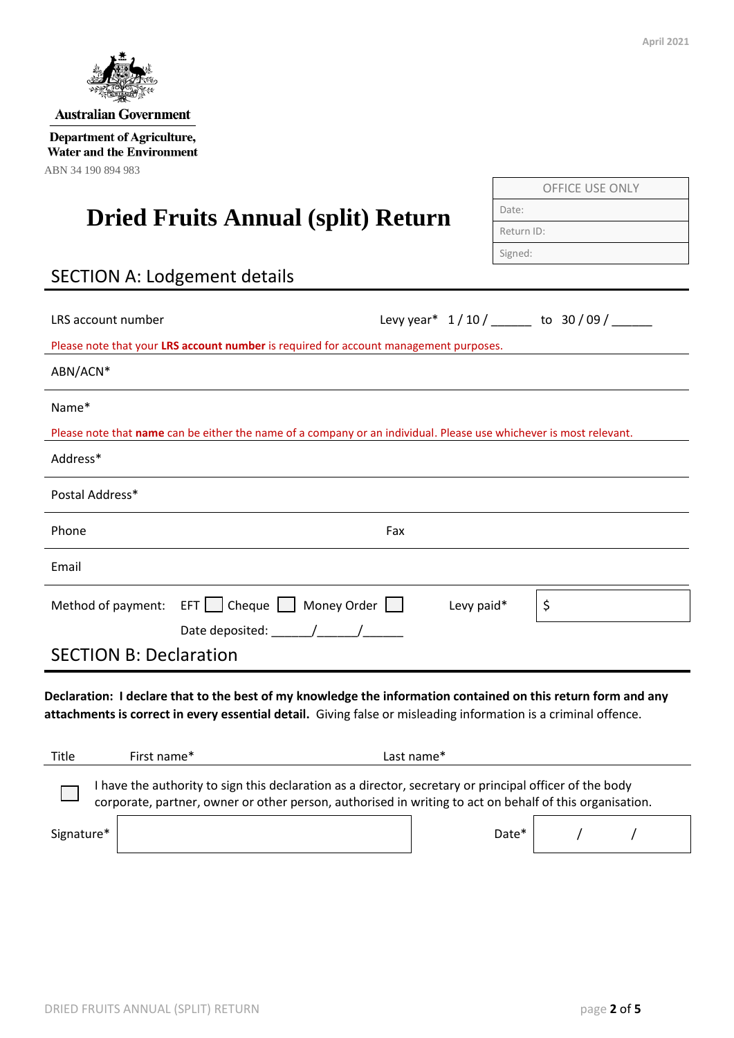

# **Dried Fruits Annual (split) Return**

# SECTION A: Lodgement details

| LRS account number                                                                                                                                                                                                               | Levy year* 1/10/ ______ to 30/09/ |    |  |  |  |
|----------------------------------------------------------------------------------------------------------------------------------------------------------------------------------------------------------------------------------|-----------------------------------|----|--|--|--|
| Please note that your LRS account number is required for account management purposes.                                                                                                                                            |                                   |    |  |  |  |
| ABN/ACN*                                                                                                                                                                                                                         |                                   |    |  |  |  |
| Name*                                                                                                                                                                                                                            |                                   |    |  |  |  |
| Please note that name can be either the name of a company or an individual. Please use whichever is most relevant.                                                                                                               |                                   |    |  |  |  |
| Address*                                                                                                                                                                                                                         |                                   |    |  |  |  |
| Postal Address*                                                                                                                                                                                                                  |                                   |    |  |  |  |
| Phone                                                                                                                                                                                                                            | Fax                               |    |  |  |  |
| Email                                                                                                                                                                                                                            |                                   |    |  |  |  |
| Method of payment: EFT     Cheque     Money Order                                                                                                                                                                                | Levy paid*                        | \$ |  |  |  |
|                                                                                                                                                                                                                                  |                                   |    |  |  |  |
| <b>SECTION B: Declaration</b>                                                                                                                                                                                                    |                                   |    |  |  |  |
| Declaration: I declare that to the best of my knowledge the information contained on this return form and any<br>attachments is correct in every essential detail. Giving false or misleading information is a criminal offence. |                                   |    |  |  |  |
| First name*<br>Title                                                                                                                                                                                                             | Last name*                        |    |  |  |  |
| I have the authority to sign this declaration as a director, secretary or principal officer of the body<br>corporate, partner, owner or other person, authorised in writing to act on behalf of this organisation.               |                                   |    |  |  |  |
| Signature*                                                                                                                                                                                                                       | Date*                             | 7  |  |  |  |



**Australian Government** 

**Department of Agriculture, Water and the Environment** ABN 34 190 894 983

| ٠<br>1 |
|--------|
|--------|

Date: Return ID:

OFFICE USE ONLY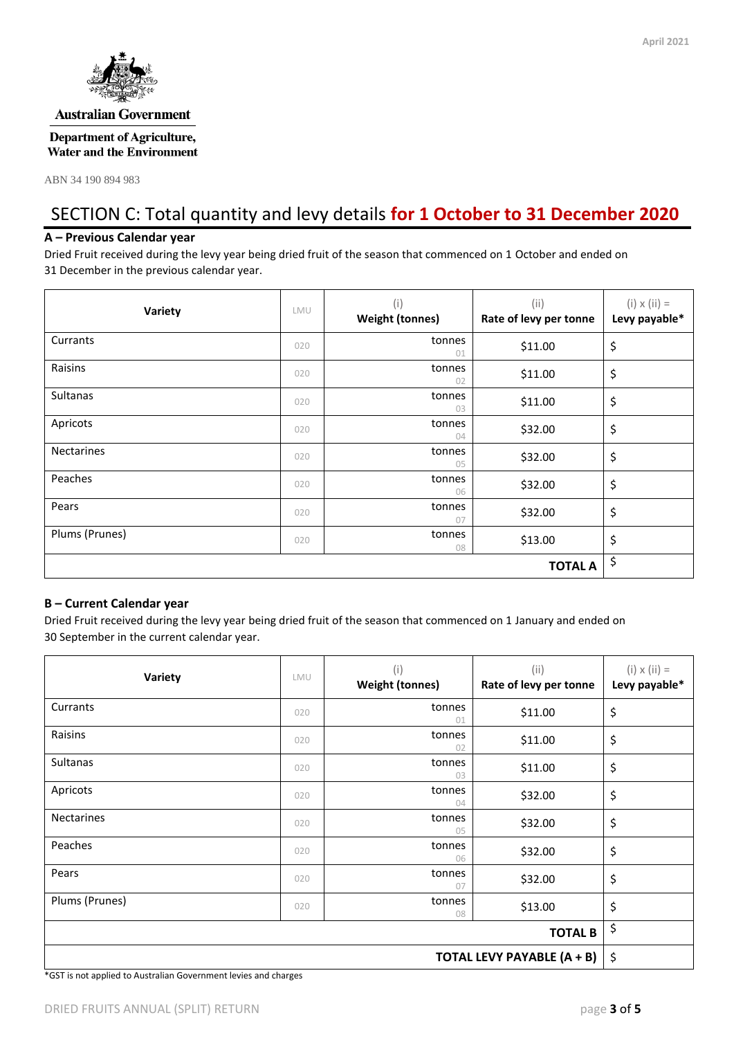

#### **Australian Government**

#### **Department of Agriculture, Water and the Environment**

ABN 34 190 894 983

## SECTION C: Total quantity and levy details **for 1 October to 31 December 2020**

#### **A – Previous Calendar year**

Dried Fruit received during the levy year being dried fruit of the season that commenced on 1 October and ended on 31 December in the previous calendar year.

| Variety           | LMU | (i)<br><b>Weight (tonnes)</b> | (i)<br>Rate of levy per tonne | $(i) \times (ii) =$<br>Levy payable* |
|-------------------|-----|-------------------------------|-------------------------------|--------------------------------------|
| Currants          | 020 | tonnes<br>01                  | \$11.00                       | \$                                   |
| Raisins           | 020 | tonnes<br>02                  | \$11.00                       | \$                                   |
| Sultanas          | 020 | tonnes<br>03                  | \$11.00                       | \$                                   |
| Apricots          | 020 | tonnes<br>04                  | \$32.00                       | \$                                   |
| <b>Nectarines</b> | 020 | tonnes<br>05                  | \$32.00                       | \$                                   |
| Peaches           | 020 | tonnes<br>06                  | \$32.00                       | \$                                   |
| Pears             | 020 | tonnes<br>07                  | \$32.00                       | \$                                   |
| Plums (Prunes)    | 020 | tonnes<br>08                  | \$13.00                       | \$                                   |
|                   |     |                               | <b>TOTAL A</b>                | \$                                   |

#### **B – Current Calendar year**

Dried Fruit received during the levy year being dried fruit of the season that commenced on 1 January and ended on 30 September in the current calendar year.

| Variety                    | LMU | (i)<br><b>Weight (tonnes)</b> | (i)<br>Rate of levy per tonne | $(i) \times (ii) =$<br>Levy payable* |
|----------------------------|-----|-------------------------------|-------------------------------|--------------------------------------|
| Currants                   | 020 | tonnes<br>01                  | \$11.00                       | \$                                   |
| Raisins                    | 020 | tonnes<br>02                  | \$11.00                       | \$                                   |
| <b>Sultanas</b>            | 020 | tonnes<br>03                  | \$11.00                       | \$                                   |
| Apricots                   | 020 | tonnes<br>04                  | \$32.00                       | \$                                   |
| <b>Nectarines</b>          | 020 | tonnes<br>05                  | \$32.00                       | \$                                   |
| Peaches                    | 020 | tonnes<br>06                  | \$32.00                       | \$                                   |
| Pears                      | 020 | tonnes<br>07                  | \$32.00                       | \$                                   |
| Plums (Prunes)             | 020 | tonnes<br>08                  | \$13.00                       | \$                                   |
| <b>TOTAL B</b>             |     |                               |                               | \$                                   |
| TOTAL LEVY PAYABLE (A + B) |     |                               |                               | \$                                   |

\*GST is not applied to Australian Government levies and charges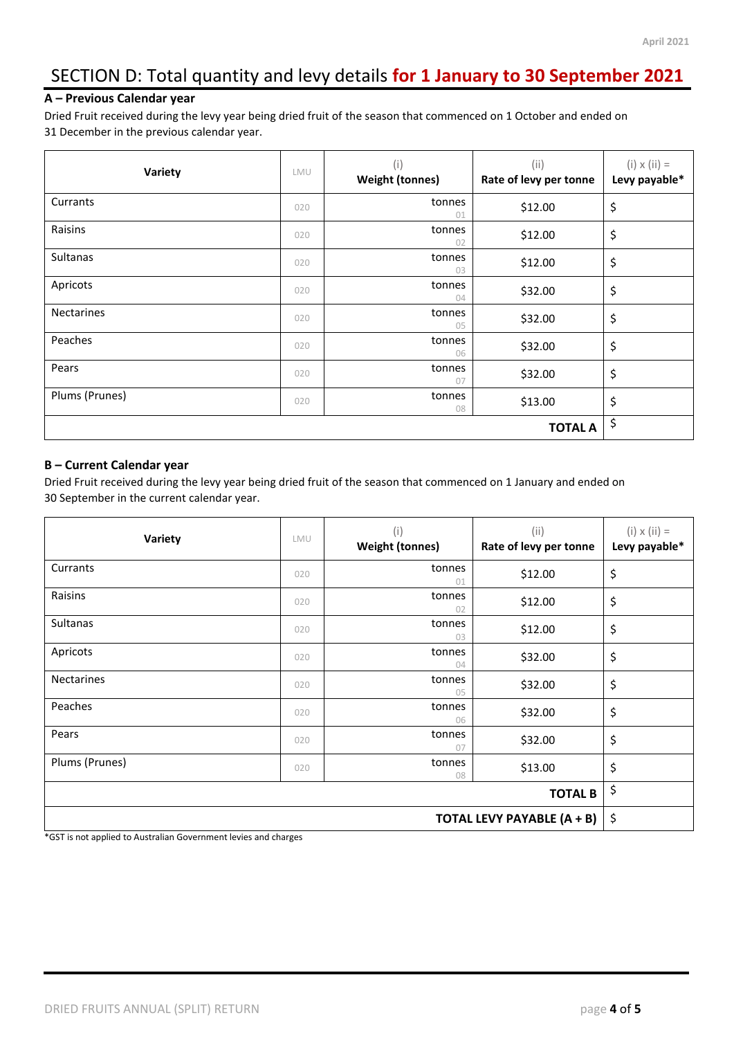# SECTION D: Total quantity and levy details **for 1 January to 30 September 2021**

#### **A – Previous Calendar year**

Dried Fruit received during the levy year being dried fruit of the season that commenced on 1 October and ended on 31 December in the previous calendar year.

| Variety           | LMU | (i)<br><b>Weight (tonnes)</b> | (i)<br>Rate of levy per tonne | $(i) \times (ii) =$<br>Levy payable* |
|-------------------|-----|-------------------------------|-------------------------------|--------------------------------------|
| Currants          | 020 | tonnes<br>01                  | \$12.00                       | \$                                   |
| Raisins           | 020 | tonnes<br>02                  | \$12.00                       | \$                                   |
| Sultanas          | 020 | tonnes<br>03                  | \$12.00                       | \$                                   |
| Apricots          | 020 | tonnes<br>04                  | \$32.00                       | \$                                   |
| <b>Nectarines</b> | 020 | tonnes<br>05                  | \$32.00                       | \$                                   |
| Peaches           | 020 | tonnes<br>06                  | \$32.00                       | \$                                   |
| Pears             | 020 | tonnes<br>07                  | \$32.00                       | \$                                   |
| Plums (Prunes)    | 020 | tonnes<br>08                  | \$13.00                       | \$                                   |
| <b>TOTAL A</b>    |     |                               |                               | \$                                   |

#### **B – Current Calendar year**

Dried Fruit received during the levy year being dried fruit of the season that commenced on 1 January and ended on 30 September in the current calendar year.

| Variety                    | LMU | (i)<br><b>Weight (tonnes)</b> | (i)<br>Rate of levy per tonne | $(i) \times (ii) =$<br>Levy payable* |
|----------------------------|-----|-------------------------------|-------------------------------|--------------------------------------|
| Currants                   | 020 | tonnes<br>01                  | \$12.00                       | \$                                   |
| Raisins                    | 020 | tonnes<br>02                  | \$12.00                       | \$                                   |
| Sultanas                   | 020 | tonnes<br>03                  | \$12.00                       | \$                                   |
| Apricots                   | 020 | tonnes<br>04                  | \$32.00                       | \$                                   |
| <b>Nectarines</b>          | 020 | tonnes<br>05                  | \$32.00                       | \$                                   |
| Peaches                    | 020 | tonnes<br>06                  | \$32.00                       | \$                                   |
| Pears                      | 020 | tonnes<br>07                  | \$32.00                       | \$                                   |
| Plums (Prunes)             | 020 | tonnes<br>08                  | \$13.00                       | \$                                   |
| <b>TOTAL B</b>             |     |                               |                               | \$                                   |
| TOTAL LEVY PAYABLE (A + B) |     |                               |                               | \$                                   |

\*GST is not applied to Australian Government levies and charges